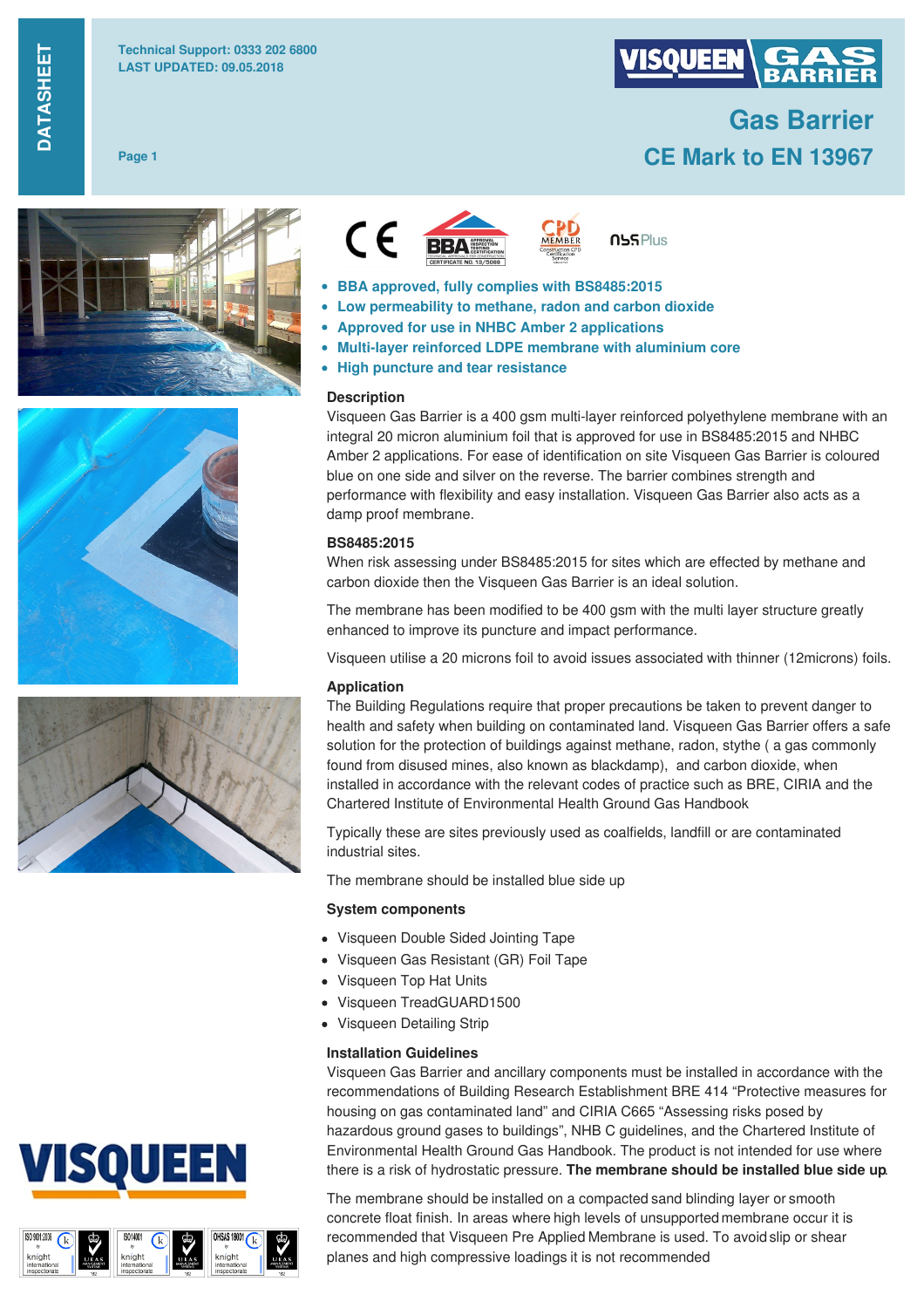**Page <sup>1</sup> CE Mark to EN 13967**











**NSSPlus** 

**ISQUEEN** 

**Gas Barrier**

- **BBA approved, fully complies with BS8485:2015**
- **Low permeability to methane, radon and carbon dioxide**
- **Approved for use in NHBC Amber 2 applications**
- **Multi-layer reinforced LDPE membrane with aluminium core**
- **High puncture and tear resistance**

#### **Description**

Visqueen Gas Barrier is a 400 gsm multi-layer reinforced polyethylene membrane with an integral 20 micron aluminium foil that is approved for use in BS8485:2015 and NHBC Amber 2 applications. For ease of identification on site Visqueen Gas Barrier is coloured blue on one side and silver on the reverse. The barrier combines strength and performance with flexibility and easy installation. Visqueen Gas Barrier also acts as a damp proof membrane.

#### **BS8485:2015**

When risk assessing under BS8485:2015 for sites which are effected by methane and carbon dioxide then the Visqueen Gas Barrier is an ideal solution.

The membrane has been modified to be 400 gsm with the multi layer structure greatly enhanced to improve its puncture and impact performance.

Visqueen utilise a 20 microns foil to avoid issues associated with thinner (12microns) foils.

#### **Application**

The Building Regulations require that proper precautions be taken to prevent danger to health and safety when building on contaminated land. Visqueen Gas Barrier offers a safe solution for the protection of buildings against methane, radon, stythe ( a gas commonly found from disused mines, also known as blackdamp), and carbon dioxide, when installed in accordance with the relevant codes of practice such as BRE, CIRIA and the Chartered Institute of Environmental Health Ground Gas Handbook

Typically these are sites previously used as coalfields, landfill or are contaminated industrial sites.

The membrane should be installed blue side up

#### **System components**

- Visqueen Double Sided Jointing Tape
- Visqueen Gas Resistant (GR) Foil Tape
- Visqueen Top Hat Units
- Visqueen TreadGUARD1500
- Visqueen Detailing Strip

#### **Installation Guidelines**

Visqueen Gas Barrier and ancillary components must be installed in accordance with the recommendations of Building Research Establishment BRE 414 "Protective measures for housing on gas contaminated land" and CIRIA C665 "Assessing risks posed by hazardous ground gases to buildings", NHB C guidelines, and the Chartered Institute of Environmental Health Ground Gas Handbook. The product is not intended for use where there is a risk of hydrostatic pressure. **The membrane should be installed blue side up**.

The membrane should be installed on a compacted sand blinding layer or smooth concrete float finish. In areas where high levels of unsupported membrane occur it is recommended that Visqueen Pre Applied Membrane is used. To avoid slip or shear planes and high compressive loadings it is not recommended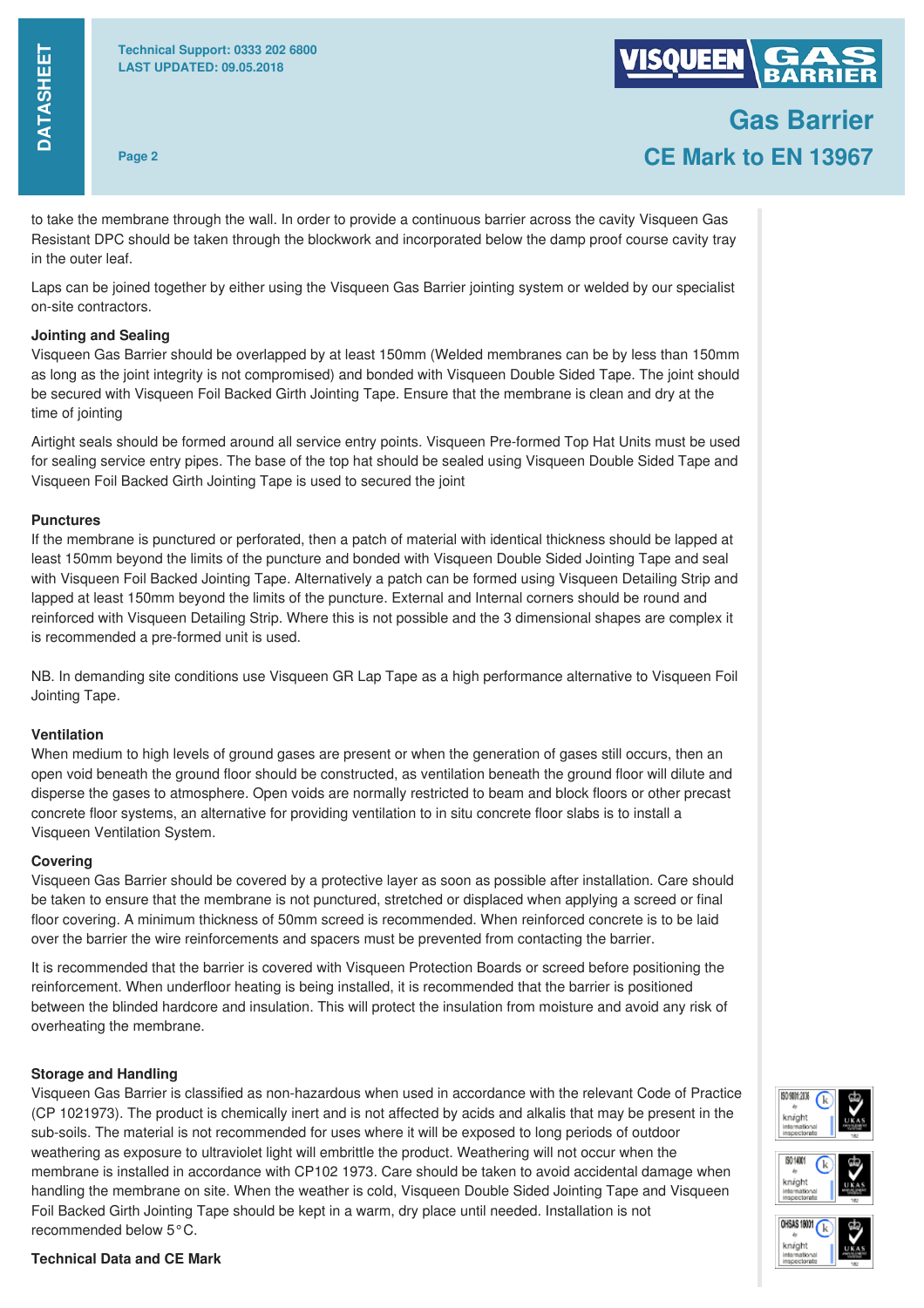# **Gas Barrier Page <sup>2</sup> CE Mark to EN 13967**

to take the membrane through the wall. In order to provide a continuous barrier across the cavity Visqueen Gas Resistant DPC should be taken through the blockwork and incorporated below the damp proof course cavity tray in the outer leaf.

Laps can be joined together by either using the Visqueen Gas Barrier jointing system or welded by our specialist on-site contractors.

### **Jointing and Sealing**

Visqueen Gas Barrier should be overlapped by at least 150mm (Welded membranes can be by less than 150mm as long as the joint integrity is not compromised) and bonded with Visqueen Double Sided Tape. The joint should be secured with Visqueen Foil Backed Girth Jointing Tape. Ensure that the membrane is clean and dry at the time of jointing

Airtight seals should be formed around all service entry points. Visqueen Pre-formed Top Hat Units must be used for sealing service entry pipes. The base of the top hat should be sealed using Visqueen Double Sided Tape and Visqueen Foil Backed Girth Jointing Tape is used to secured the joint

### **Punctures**

If the membrane is punctured or perforated, then a patch of material with identical thickness should be lapped at least 150mm beyond the limits of the puncture and bonded with Visqueen Double Sided Jointing Tape and seal with Visqueen Foil Backed Jointing Tape. Alternatively a patch can be formed using Visqueen Detailing Strip and lapped at least 150mm beyond the limits of the puncture. External and Internal corners should be round and reinforced with Visqueen Detailing Strip. Where this is not possible and the 3 dimensional shapes are complex it is recommended a pre-formed unit is used.

NB. In demanding site conditions use Visqueen GR Lap Tape as a high performance alternative to Visqueen Foil Jointing Tape.

### **Ventilation**

When medium to high levels of ground gases are present or when the generation of gases still occurs, then an open void beneath the ground floor should be constructed, as ventilation beneath the ground floor will dilute and disperse the gases to atmosphere. Open voids are normally restricted to beam and block floors or other precast concrete floor systems, an alternative for providing ventilation to in situ concrete floor slabs is to install a Visqueen Ventilation System.

### **Covering**

Visqueen Gas Barrier should be covered by a protective layer as soon as possible after installation. Care should be taken to ensure that the membrane is not punctured, stretched or displaced when applying a screed or final floor covering. A minimum thickness of 50mm screed is recommended. When reinforced concrete is to be laid over the barrier the wire reinforcements and spacers must be prevented from contacting the barrier.

It is recommended that the barrier is covered with Visqueen Protection Boards or screed before positioning the reinforcement. When underfloor heating is being installed, it is recommended that the barrier is positioned between the blinded hardcore and insulation. This will protect the insulation from moisture and avoid any risk of overheating the membrane.

### **Storage and Handling**

Visqueen Gas Barrier is classified as non-hazardous when used in accordance with the relevant Code of Practice (CP 1021973). The product is chemically inert and is not affected by acids and alkalis that may be present in the sub-soils. The material is not recommended for uses where it will be exposed to long periods of outdoor weathering as exposure to ultraviolet light will embrittle the product. Weathering will not occur when the membrane is installed in accordance with CP102 1973. Care should be taken to avoid accidental damage when handling the membrane on site. When the weather is cold, Visqueen Double Sided Jointing Tape and Visqueen Foil Backed Girth Jointing Tape should be kept in a warm, dry place until needed. Installation is not recommended below 5°C.







#### **Technical Data and CE Mark**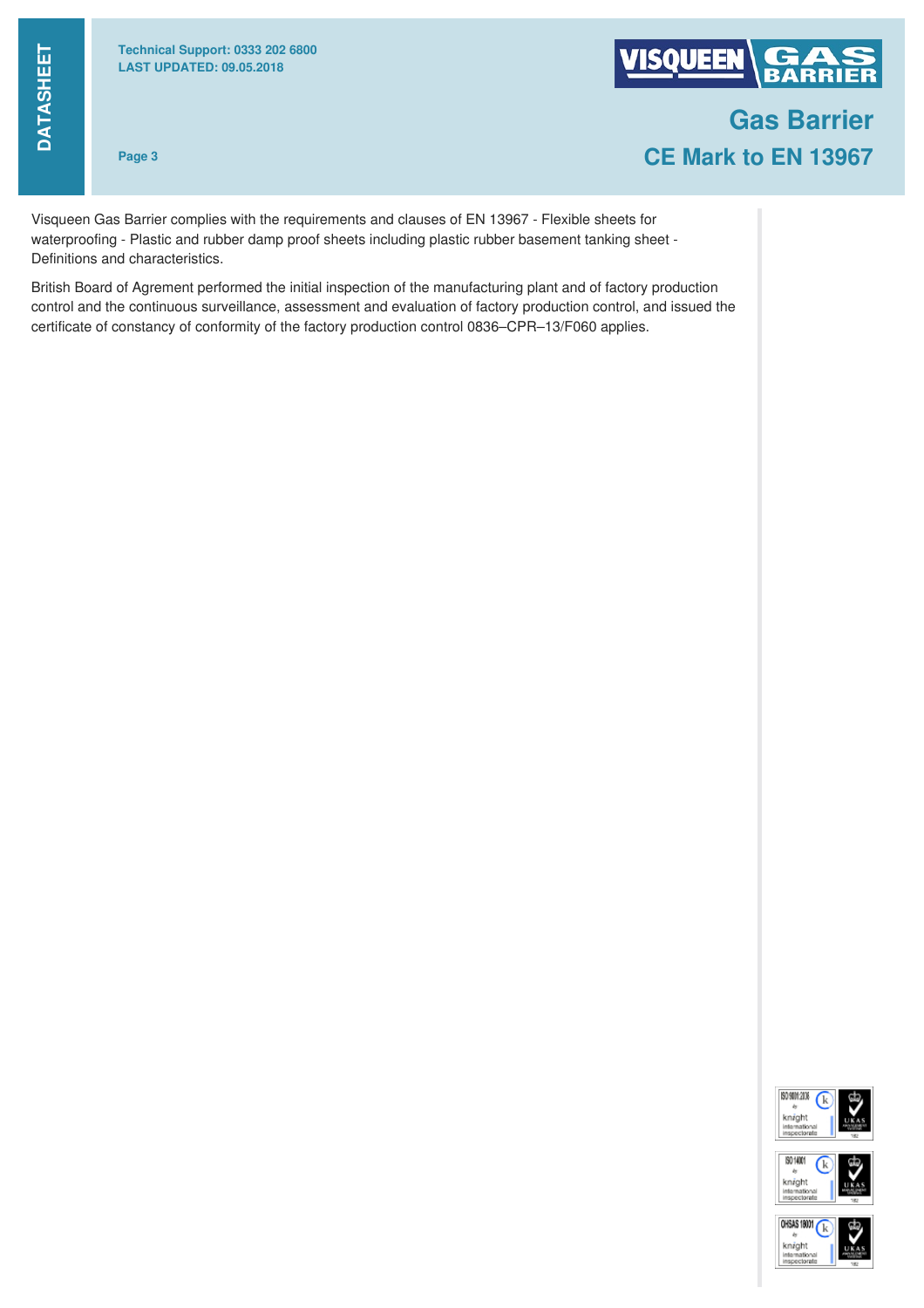**Technical Support: 0333 202 6800 LAST UPDATED: 09.05.2018**

## **VISQUEEN GA**

## **Gas Barrier Page <sup>3</sup> CE Mark to EN 13967**

Visqueen Gas Barrier complies with the requirements and clauses of EN 13967 - Flexible sheets for waterproofing - Plastic and rubber damp proof sheets including plastic rubber basement tanking sheet - Definitions and characteristics.

British Board of Agrement performed the initial inspection of the manufacturing plant and of factory production control and the continuous surveillance, assessment and evaluation of factory production control, and issued the certificate of constancy of conformity of the factory production control 0836–CPR–13/F060 applies.





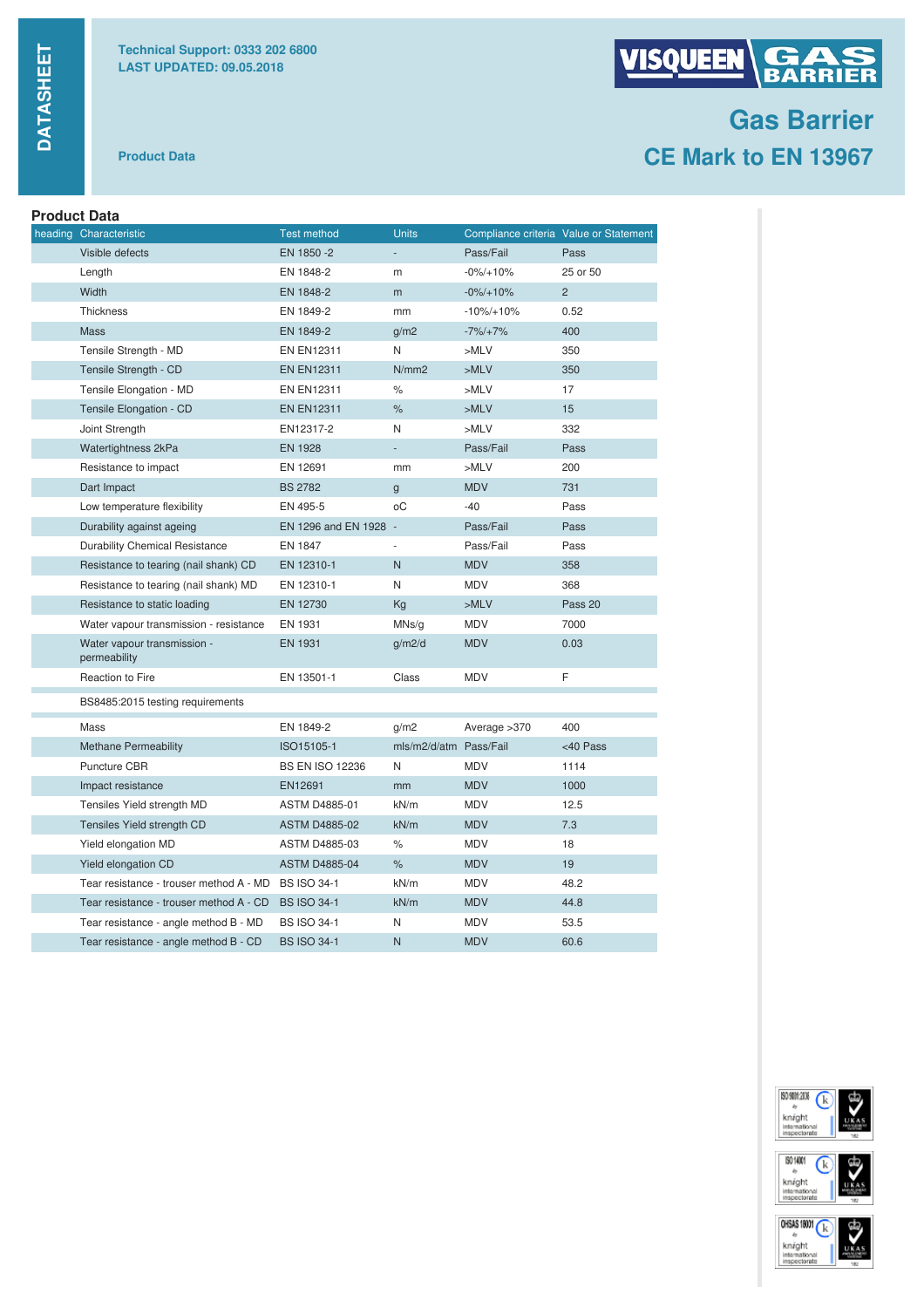**Technical Support: 0333 202 6800 LAST UPDATED: 09.05.2018**

## **VISQUEEN** GAS

# **Gas Barrier Product Data CE Mark to EN 13967**

| <b>Product Data</b><br>heading Characteristic | <b>Test method</b>     | <b>Units</b>           |               | Compliance criteria Value or Statement |
|-----------------------------------------------|------------------------|------------------------|---------------|----------------------------------------|
|                                               |                        |                        |               |                                        |
| Visible defects                               | EN 1850 -2             |                        | Pass/Fail     | Pass                                   |
| Length                                        | EN 1848-2              | m                      | $-0\%/+10\%$  | 25 or 50                               |
| Width                                         | EN 1848-2              | m                      | $-0\%/+10\%$  | $\overline{2}$                         |
| <b>Thickness</b>                              | EN 1849-2              | mm                     | $-10\%/+10\%$ | 0.52                                   |
| Mass                                          | EN 1849-2              | g/m2                   | $-7\%/+7\%$   | 400                                    |
| Tensile Strength - MD                         | <b>EN EN12311</b>      | N                      | >MLV          | 350                                    |
| Tensile Strength - CD                         | <b>EN EN12311</b>      | N/mm2                  | >MLV          | 350                                    |
| Tensile Elongation - MD                       | <b>EN EN12311</b>      | $\%$                   | >MLV          | 17                                     |
| Tensile Elongation - CD                       | <b>EN EN12311</b>      | $\%$                   | >MLV          | 15                                     |
| Joint Strength                                | EN12317-2              | N                      | >MLV          | 332                                    |
| Watertightness 2kPa                           | <b>EN 1928</b>         | ä,                     | Pass/Fail     | Pass                                   |
| Resistance to impact                          | EN 12691               | mm                     | >MLV          | 200                                    |
| Dart Impact                                   | <b>BS 2782</b>         | g                      | <b>MDV</b>    | 731                                    |
| Low temperature flexibility                   | EN 495-5               | оC                     | $-40$         | Pass                                   |
| Durability against ageing                     | EN 1296 and EN 1928 -  |                        | Pass/Fail     | Pass                                   |
| <b>Durability Chemical Resistance</b>         | <b>EN 1847</b>         |                        | Pass/Fail     | Pass                                   |
| Resistance to tearing (nail shank) CD         | EN 12310-1             | N.                     | <b>MDV</b>    | 358                                    |
| Resistance to tearing (nail shank) MD         | EN 12310-1             | N                      | <b>MDV</b>    | 368                                    |
| Resistance to static loading                  | EN 12730               | Kg                     | >MLV          | Pass 20                                |
| Water vapour transmission - resistance        | EN 1931                | MNs/g                  | MDV           | 7000                                   |
| Water vapour transmission -<br>permeability   | <b>EN 1931</b>         | g/m2/d                 | <b>MDV</b>    | 0.03                                   |
| Reaction to Fire                              | EN 13501-1             | Class                  | <b>MDV</b>    | F                                      |
| BS8485:2015 testing requirements              |                        |                        |               |                                        |
| Mass                                          | EN 1849-2              | g/m2                   | Average > 370 | 400                                    |
| <b>Methane Permeability</b>                   | ISO15105-1             | mls/m2/d/atm Pass/Fail |               | <40 Pass                               |
| <b>Puncture CBR</b>                           | <b>BS EN ISO 12236</b> | N                      | <b>MDV</b>    | 1114                                   |
| Impact resistance                             | EN12691                | mm                     | <b>MDV</b>    | 1000                                   |
| Tensiles Yield strength MD                    | <b>ASTM D4885-01</b>   | kN/m                   | MDV           | 12.5                                   |
| Tensiles Yield strength CD                    | <b>ASTM D4885-02</b>   | kN/m                   | <b>MDV</b>    | 7.3                                    |
| Yield elongation MD                           | <b>ASTM D4885-03</b>   | $\%$                   | MDV           | 18                                     |
| Yield elongation CD                           | <b>ASTM D4885-04</b>   | $\frac{9}{6}$          | <b>MDV</b>    | 19                                     |
| Tear resistance - trouser method A - MD       | <b>BS ISO 34-1</b>     | kN/m                   | <b>MDV</b>    | 48.2                                   |
| Tear resistance - trouser method A - CD       | <b>BS ISO 34-1</b>     | kN/m                   | <b>MDV</b>    | 44.8                                   |
| Tear resistance - angle method B - MD         | <b>BS ISO 34-1</b>     | N                      | <b>MDV</b>    | 53.5                                   |
| Tear resistance - angle method B - CD         | <b>BS ISO 34-1</b>     | N                      | <b>MDV</b>    | 60.6                                   |